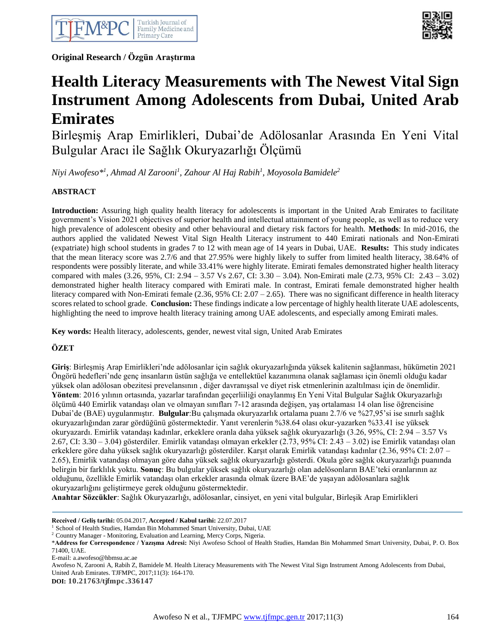

**Original Research / Özgün Araştırma**



# **Health Literacy Measurements with The Newest Vital Sign Instrument Among Adolescents from Dubai, United Arab Emirates**

Birleşmiş Arap Emirlikleri, Dubai'de Adölosanlar Arasında En Yeni Vital Bulgular Aracı ile Sağlık Okuryazarlığı Ölçümü

*Niyi Awofeso\* 1 , Ahmad Al Zarooni<sup>1</sup> , Zahour Al Haj Rabih<sup>1</sup> , Moyosola Bamidele<sup>2</sup>*

## **ABSTRACT**

**Introduction:** Assuring high quality health literacy for adolescents is important in the United Arab Emirates to facilitate government's Vision 2021 objectives of superior health and intellectual attainment of young people, as well as to reduce very high prevalence of adolescent obesity and other behavioural and dietary risk factors for health. **Methods**: In mid-2016, the authors applied the validated Newest Vital Sign Health Literacy instrument to 440 Emirati nationals and Non-Emirati (expatriate) high school students in grades 7 to 12 with mean age of 14 years in Dubai, UAE. **Results:** This study indicates that the mean literacy score was 2.7/6 and that 27.95% were highly likely to suffer from limited health literacy, 38.64% of respondents were possibly literate, and while 33.41% were highly literate. Emirati females demonstrated higher health literacy compared with males (3.26, 95%, CI: 2.94 – 3.57 Vs 2.67, CI: 3.30 – 3.04). Non-Emirati male (2.73, 95% CI: 2.43 – 3.02) demonstrated higher health literacy compared with Emirati male. In contrast, Emirati female demonstrated higher health literacy compared with Non-Emirati female  $(2.36, 95\% \text{ CI: } 2.07 - 2.65)$ . There was no significant difference in health literacy scores related to school grade. **Conclusion:** These findings indicate a low percentage of highly health literate UAE adolescents, highlighting the need to improve health literacy training among UAE adolescents, and especially among Emirati males.

**Key words:** Health literacy, adolescents, gender, newest vital sign, United Arab Emirates

# **ÖZET**

**Giriş**: Birleşmiş Arap Emirlikleri'nde adölosanlar için sağlık okuryazarlığında yüksek kalitenin sağlanması, hükümetin 2021 Öngörü hedefleri'nde genç insanların üstün sağlığa ve entellektüel kazanımına olanak sağlaması için önemli olduğu kadar yüksek olan adölosan obezitesi prevelansının , diğer davranışsal ve diyet risk etmenlerinin azaltılması için de önemlidir. **Yöntem**: 2016 yılının ortasında, yazarlar tarafından geçerliiliği onaylanmış En Yeni Vital Bulgular Sağlık Okuryazarlığı ölçümü 440 Emirlik vatandaşı olan ve olmayan sınıfları 7-12 arasında değişen, yaş ortalaması 14 olan lise öğrencisine Dubai'de (BAE) uygulanmıştır. **Bulgular**:Bu çalışmada okuryazarlık ortalama puanı 2.7/6 ve %27,95'si ise sınırlı sağlık okuryazarlığından zarar gördüğünü göstermektedir. Yanıt verenlerin %38.64 olası okur-yazarken %33.41 ise yüksek okuryazardı. Emirlik vatandaşı kadınlar, erkeklere oranla daha yüksek sağlık okuryazarlığı (3.26, 95%, CI: 2.94 – 3.57 Vs 2.67, CI: 3.30 – 3.04) gösterdiler. Emirlik vatandaşı olmayan erkekler (2.73, 95% CI: 2.43 – 3.02) ise Emirlik vatandaşı olan erkeklere göre daha yüksek sağlık okuryazarlığı gösterdiler. Karşıt olarak Emirlik vatandaşı kadınlar (2.36, 95% CI: 2.07 – 2.65), Emirlik vatandaşı olmayan göre daha yüksek sağlık okuryazarlığı gösterdi. Okula göre sağlık okuryazarlığı puanında belirgin bir farklılık yoktu. **Sonuç**: Bu bulgular yüksek sağlık okuryazarlığı olan adelösonların BAE'teki oranlarının az olduğunu, özellikle Emirlik vatandaşı olan erkekler arasında olmak üzere BAE'de yaşayan adölosanlara sağlık okuryazarlığını geliştirmeye gerek olduğunu göstermektedir.

**Anahtar Sözcükler**: Sağlık Okuryazarlığı, adölosanlar, cinsiyet, en yeni vital bulgular, Birleşik Arap Emirlikleri

Awofeso N, Zarooni A, Rabih Z, Bamidele M. Health Literacy Measurements with The Newest Vital Sign Instrument Among Adolescents from Dubai, United Arab Emirates. TJFMPC, 2017;11(3): 164-170.

**DOI: 10.21763/tjfmpc.336147**

**Received / Geliş tarihi:** 05.04.2017, **Accepted / Kabul tarihi:** 22.07.2017

<sup>&</sup>lt;sup>1</sup> School of Health Studies, Hamdan Bin Mohammed Smart University, Dubai, UAE

<sup>2</sup> Country Manager - Monitoring, Evaluation and Learning, Mercy Corps, Nigeria.

<sup>\*</sup>**Address for Correspondence / Yazışma Adresi:** Niyi Awofeso School of Health Studies, Hamdan Bin Mohammed Smart University, Dubai, P. O. Box 71400, UAE.

E-mail: a.awofeso@hbmsu.ac.ae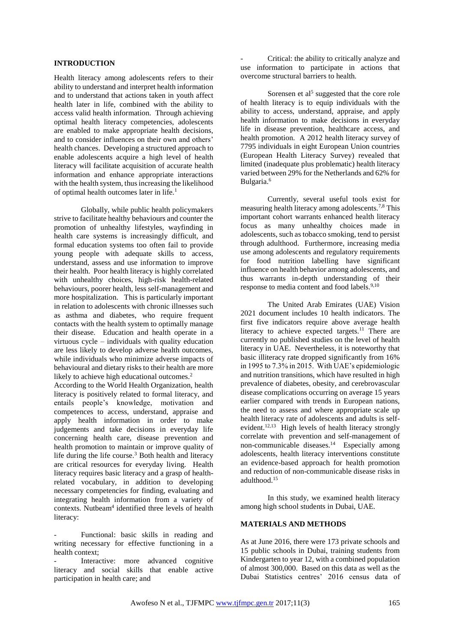## **INTRODUCTION**

Health literacy among adolescents refers to their ability to understand and interpret health information and to understand that actions taken in youth affect health later in life, combined with the ability to access valid health information. Through achieving optimal health literacy competencies, adolescents are enabled to make appropriate health decisions, and to consider influences on their own and others' health chances. Developing a structured approach to enable adolescents acquire a high level of health literacy will facilitate acquisition of accurate health information and enhance appropriate interactions with the health system, thus increasing the likelihood of optimal health outcomes later in life.<sup>1</sup>

Globally, while public health policymakers strive to facilitate healthy behaviours and counter the promotion of unhealthy lifestyles, wayfinding in health care systems is increasingly difficult, and formal education systems too often fail to provide young people with adequate skills to access, understand, assess and use information to improve their health. Poor health literacy is highly correlated with unhealthy choices, high-risk health-related behaviours, poorer health, less self-management and more hospitalization. This is particularly important in relation to adolescents with chronic illnesses such as asthma and diabetes, who require frequent contacts with the health system to optimally manage their disease. Education and health operate in a virtuous cycle – individuals with quality education are less likely to develop adverse health outcomes, while individuals who minimize adverse impacts of behavioural and dietary risks to their health are more likely to achieve high educational outcomes.<sup>2</sup>

According to the World Health Organization, health literacy is positively related to formal literacy, and entails people's knowledge, motivation and competences to access, understand, appraise and apply health information in order to make judgements and take decisions in everyday life concerning health care, disease prevention and health promotion to maintain or improve quality of life during the life course.<sup>3</sup> Both health and literacy are critical resources for everyday living. Health literacy requires basic literacy and a grasp of healthrelated vocabulary, in addition to developing necessary competencies for finding, evaluating and integrating health information from a variety of contexts. Nutbeam<sup>4</sup> identified three levels of health literacy:

Functional: basic skills in reading and writing necessary for effective functioning in a health context;

Interactive: more advanced cognitive literacy and social skills that enable active participation in health care; and

Critical: the ability to critically analyze and use information to participate in actions that overcome structural barriers to health.

Sorensen et al<sup>5</sup> suggested that the core role of health literacy is to equip individuals with the ability to access, understand, appraise, and apply health information to make decisions in everyday life in disease prevention, healthcare access, and health promotion. A 2012 health literacy survey of 7795 individuals in eight European Union countries (European Health Literacy Survey) revealed that limited (inadequate plus problematic) health literacy varied between 29% for the Netherlands and 62% for Bulgaria.<sup>6</sup>

Currently, several useful tools exist for measuring health literacy among adolescents.7,8 This important cohort warrants enhanced health literacy focus as many unhealthy choices made in adolescents, such as tobacco smoking, tend to persist through adulthood. Furthermore, increasing media use among adolescents and regulatory requirements for food nutrition labelling have significant influence on health behavior among adolescents, and thus warrants in-depth understanding of their response to media content and food labels.<sup>9,10</sup>

The United Arab Emirates (UAE) Vision 2021 document includes 10 health indicators. The first five indicators require above average health literacy to achieve expected targets.<sup>11</sup> There are currently no published studies on the level of health literacy in UAE. Nevertheless, it is noteworthy that basic illiteracy rate dropped significantly from 16% in 1995 to 7.3% in 2015. With UAE's epidemiologic and nutrition transitions, which have resulted in high prevalence of diabetes, obesity, and cerebrovascular disease complications occurring on average 15 years earlier compared with trends in European nations, the need to assess and where appropriate scale up health literacy rate of adolescents and adults is selfevident.<sup>12,13</sup> High levels of health literacy strongly correlate with prevention and self-management of non-communicable diseases. $14$  Especially among adolescents, health literacy interventions constitute an evidence-based approach for health promotion and reduction of non-communicable disease risks in adulthood.<sup>15</sup>

In this study, we examined health literacy among high school students in Dubai, UAE.

### **MATERIALS AND METHODS**

As at June 2016, there were 173 private schools and 15 public schools in Dubai, training students from Kindergarten to year 12, with a combined population of almost 300,000. Based on this data as well as the Dubai Statistics centres' 2016 census data of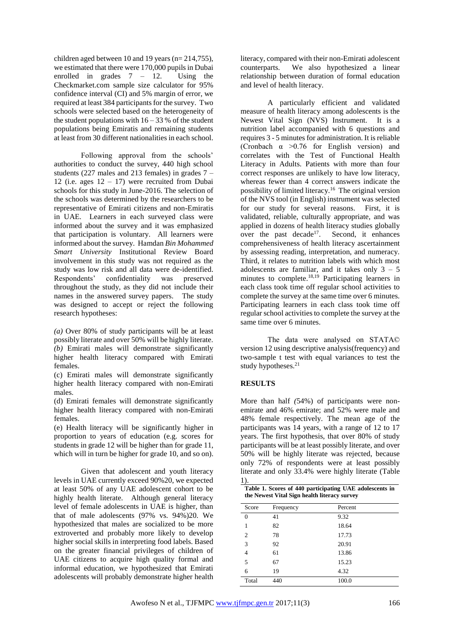children aged between 10 and 19 years (n= 214,755), we estimated that there were 170,000 pupils in Dubai enrolled in grades  $7 - 12$ . Using the Checkmarket.com sample size calculator for 95% confidence interval (CI) and 5% margin of error, we required at least 384 participants for the survey. Two schools were selected based on the heterogeneity of the student populations with  $16 - 33$  % of the student populations being Emiratis and remaining students at least from 30 different nationalities in each school.

Following approval from the schools' authorities to conduct the survey, 440 high school students (227 males and 213 females) in grades 7 – 12 (i.e. ages  $12 - 17$ ) were recruited from Dubai schools for this study in June-2016. The selection of the schools was determined by the researchers to be representative of Emirati citizens and non-Emiratis in UAE. Learners in each surveyed class were informed about the survey and it was emphasized that participation is voluntary. All learners were informed about the survey. Hamdan *Bin Mohammed Smart University* Institutional Review Board involvement in this study was not required as the study was low risk and all data were de-identified. Respondents' confidentiality was preserved throughout the study, as they did not include their names in the answered survey papers. The study was designed to accept or reject the following research hypotheses:

*(a)* Over 80% of study participants will be at least possibly literate and over 50% will be highly literate. *(b)* Emirati males will demonstrate significantly higher health literacy compared with Emirati females.

(c) Emirati males will demonstrate significantly higher health literacy compared with non-Emirati males.

(d) Emirati females will demonstrate significantly higher health literacy compared with non-Emirati females.

(e) Health literacy will be significantly higher in proportion to years of education (e.g. scores for students in grade 12 will be higher than for grade 11, which will in turn be higher for grade 10, and so on).

Given that adolescent and youth literacy levels in UAE currently exceed 90%20, we expected at least 50% of any UAE adolescent cohort to be highly health literate. Although general literacy level of female adolescents in UAE is higher, than that of male adolescents (97% vs. 94%)20. We hypothesized that males are socialized to be more extroverted and probably more likely to develop higher social skills in interpreting food labels. Based on the greater financial privileges of children of UAE citizens to acquire high quality formal and informal education, we hypothesized that Emirati adolescents will probably demonstrate higher health

literacy, compared with their non-Emirati adolescent counterparts. We also hypothesized a linear relationship between duration of formal education and level of health literacy.

A particularly efficient and validated measure of health literacy among adolescents is the Newest Vital Sign (NVS) Instrument. It is a nutrition label accompanied with 6 questions and requires 3 - 5 minutes for administration. It is reliable (Cronbach  $\alpha$  >0.76 for English version) and correlates with the Test of Functional Health Literacy in Adults. Patients with more than four correct responses are unlikely to have low literacy, whereas fewer than 4 correct answers indicate the possibility of limited literacy.<sup>16</sup> The original version of the NVS tool (in English) instrument was selected for our study for several reasons. First, it is validated, reliable, culturally appropriate, and was applied in dozens of health literacy studies globally over the past decade<sup>17</sup>. Second, it enhances comprehensiveness of health literacy ascertainment by assessing reading, interpretation, and numeracy. Third, it relates to nutrition labels with which most adolescents are familiar, and it takes only  $3 - 5$ minutes to complete.<sup>18,19</sup> Participating learners in each class took time off regular school activities to complete the survey at the same time over 6 minutes. Participating learners in each class took time off regular school activities to complete the survey at the same time over 6 minutes.

The data were analysed on STATA© version 12 using descriptive analysis(frequency) and two-sample t test with equal variances to test the study hypotheses. $21$ 

# **RESULTS**

More than half *(*54%) of participants were nonemirate and 46% emirate; and 52% were male and 48% female respectively. The mean age of the participants was 14 years, with a range of 12 to 17 years. The first hypothesis, that over 80% of study participants will be at least possibly literate, and over 50% will be highly literate was rejected, because only 72% of respondents were at least possibly literate and only 33.4% were highly literate (Table 1).

|       | the Newest Vital Sign health literacy survey | Table 1. Scores of 440 participating UAE adolescents in |
|-------|----------------------------------------------|---------------------------------------------------------|
| Score | Frequency                                    | Percent                                                 |

| Score    | Frequency | Percent |
|----------|-----------|---------|
| $\theta$ | 41        | 9.32    |
|          | 82        | 18.64   |
| 2        | 78        | 17.73   |
| 3        | 92        | 20.91   |
| 4        | 61        | 13.86   |
| 5        | 67        | 15.23   |
| 6        | 19        | 4.32    |
| Total    | 440       | 100.0   |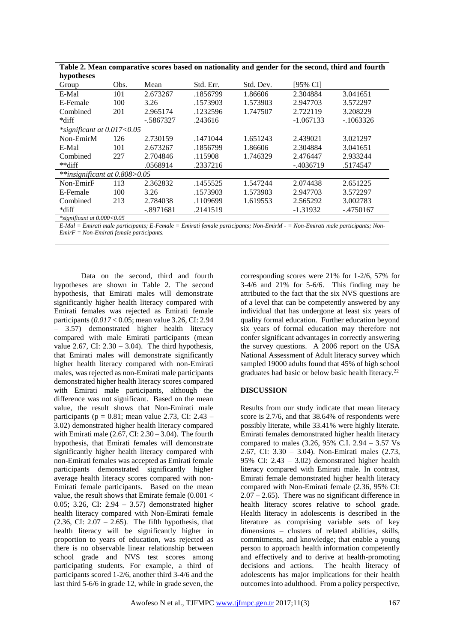| nypotheses                    |      |              |           |           |             |             |  |
|-------------------------------|------|--------------|-----------|-----------|-------------|-------------|--|
| Group                         | Obs. | Mean         | Std. Err. | Std. Dev. | [95% CI]    |             |  |
| E-Mal                         | 101  | 2.673267     | .1856799  | 1.86606   | 2.304884    | 3.041651    |  |
| E-Female                      | 100  | 3.26         | .1573903  | 1.573903  | 2.947703    | 3.572297    |  |
| Combined                      | 201  | 2.965174     | .1232596  | 1.747507  | 2.722119    | 3.208229    |  |
| *diff                         |      | $-0.5867327$ | .243616   |           | $-1.067133$ | $-1063326$  |  |
| $*$ significant at 0.017<0.05 |      |              |           |           |             |             |  |
| Non-EmirM                     | 126  | 2.730159     | .1471044  | 1.651243  | 2.439021    | 3.021297    |  |
| E-Mal                         | 101  | 2.673267     | .1856799  | 1.86606   | 2.304884    | 3.041651    |  |
| Combined                      | 227  | 2.704846     | .115908   | 1.746329  | 2.476447    | 2.933244    |  |
| **diff                        |      | .0568914     | .2337216  |           | $-.4036719$ | .5174547    |  |
| **insignificant at 0.808>0.05 |      |              |           |           |             |             |  |
| Non-EmirF                     | 113  | 2.362832     | .1455525  | 1.547244  | 2.074438    | 2.651225    |  |
| E-Female                      | 100  | 3.26         | .1573903  | 1.573903  | 2.947703    | 3.572297    |  |
| Combined                      | 213  | 2.784038     | .1109699  | 1.619553  | 2.565292    | 3.002783    |  |
| *diff                         |      | $-.8971681$  | .2141519  |           | $-1.31932$  | $-.4750167$ |  |
| $*$ significant at 0.000<0.05 |      |              |           |           |             |             |  |

**Table 2. Mean comparative scores based on nationality and gender for the second, third and fourth hypotheses**

*E-Mal = Emirati male participants; E-Female = Emirati female participants; Non-EmirM - = Non-Emirati male participants; Non-EmirF = Non-Emirati female participants.*

Data on the second, third and fourth hypotheses are shown in Table 2. The second hypothesis, that Emirati males will demonstrate significantly higher health literacy compared with Emirati females was rejected as Emirati female participants (*0.017* < 0.05; mean value 3.26, CI: 2.94 – 3.57) demonstrated higher health literacy compared with male Emirati participants (mean value 2.67, CI:  $2.30 - 3.04$ ). The third hypothesis, that Emirati males will demonstrate significantly higher health literacy compared with non-Emirati males, was rejected as non-Emirati male participants demonstrated higher health literacy scores compared with Emirati male participants, although the difference was not significant. Based on the mean value, the result shows that Non-Emirati male participants ( $p = 0.81$ ; mean value 2.73, CI: 2.43 – 3.02) demonstrated higher health literacy compared with Emirati male  $(2.67, CI: 2.30 - 3.04)$ . The fourth hypothesis, that Emirati females will demonstrate significantly higher health literacy compared with non-Emirati females was accepted as Emirati female participants demonstrated significantly higher average health literacy scores compared with non-Emirati female participants. Based on the mean value, the result shows that Emirate female (0.001 < 0.05; 3.26, CI: 2.94 – 3.57) demonstrated higher health literacy compared with Non-Emirati female  $(2.36, CI: 2.07 - 2.65)$ . The fifth hypothesis, that health literacy will be significantly higher in proportion to years of education, was rejected as there is no observable linear relationship between school grade and NVS test scores among participating students. For example, a third of participants scored 1-2/6, another third 3-4/6 and the last third 5-6/6 in grade 12, while in grade seven, the

corresponding scores were 21% for 1-2/6, 57% for 3-4/6 and 21% for 5-6/6. This finding may be attributed to the fact that the six NVS questions are of a level that can be competently answered by any individual that has undergone at least six years of quality formal education. Further education beyond six years of formal education may therefore not confer significant advantages in correctly answering the survey questions. A 2006 report on the USA National Assessment of Adult literacy survey which sampled 19000 adults found that 45% of high school graduates had basic or below basic health literacy.<sup>22</sup>

#### **DISCUSSION**

Results from our study indicate that mean literacy score is 2.7/6, and that 38.64% of respondents were possibly literate, while 33.41% were highly literate. Emirati females demonstrated higher health literacy compared to males (3.26, 95% C.I. 2.94 – 3.57 Vs 2.67, CI: 3.30 – 3.04). Non-Emirati males (2.73, 95% CI: 2.43 – 3.02) demonstrated higher health literacy compared with Emirati male. In contrast, Emirati female demonstrated higher health literacy compared with Non-Emirati female (2.36, 95% CI:  $2.07 - 2.65$ ). There was no significant difference in health literacy scores relative to school grade. Health literacy in adolescents is described in the literature as comprising variable sets of key dimensions – clusters of related abilities, skills, commitments, and knowledge; that enable a young person to approach health information competently and effectively and to derive at health-promoting decisions and actions. The health literacy of adolescents has major implications for their health outcomes into adulthood. From a policy perspective,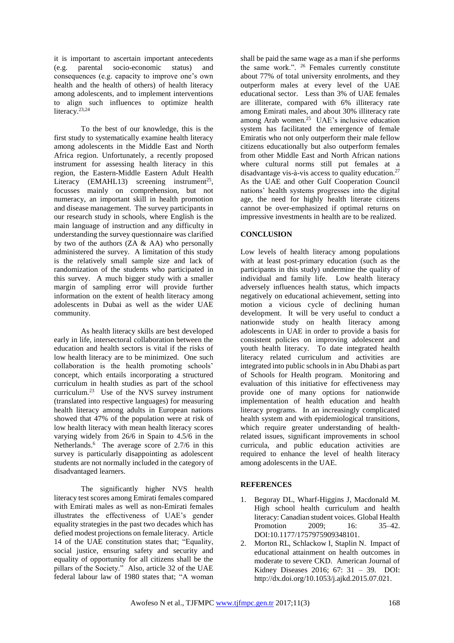it is important to ascertain important antecedents (e.g. parental socio-economic status) and consequences (e.g. capacity to improve one's own health and the health of others) of health literacy among adolescents, and to implement interventions to align such influences to optimize health literacy.<sup>23,24</sup>

To the best of our knowledge, this is the first study to systematically examine health literacy among adolescents in the Middle East and North Africa region. Unfortunately, a recently proposed instrument for assessing health literacy in this region, the Eastern-Middle Eastern Adult Health Literacy (EMAHL13) screening instrument<sup>25</sup>, focusses mainly on comprehension, but not numeracy, an important skill in health promotion and disease management. The survey participants in our research study in schools, where English is the main language of instruction and any difficulty in understanding the survey questionnaire was clarified by two of the authors (ZA & AA) who personally administered the survey. A limitation of this study is the relatively small sample size and lack of randomization of the students who participated in this survey. A much bigger study with a smaller margin of sampling error will provide further information on the extent of health literacy among adolescents in Dubai as well as the wider UAE community.

As health literacy skills are best developed early in life, intersectoral collaboration between the education and health sectors is vital if the risks of low health literacy are to be minimized. One such collaboration is the health promoting schools' concept, which entails incorporating a structured curriculum in health studies as part of the school curriculum. $^{23}$  Use of the NVS survey instrument (translated into respective languages) for measuring health literacy among adults in European nations showed that 47% of the population were at risk of low health literacy with mean health literacy scores varying widely from 26/6 in Spain to 4.5/6 in the Netherlands.<sup>6</sup> The average score of 2.7/6 in this survey is particularly disappointing as adolescent students are not normally included in the category of disadvantaged learners.

The significantly higher NVS health literacy test scores among Emirati females compared with Emirati males as well as non-Emirati females illustrates the effectiveness of UAE's gender equality strategies in the past two decades which has defied modest projections on female literacy. Article 14 of the UAE constitution states that; "Equality, social justice, ensuring safety and security and equality of opportunity for all citizens shall be the pillars of the Society." Also, article 32 of the UAE federal labour law of 1980 states that; "A woman

shall be paid the same wage as a man if she performs the same work.". <sup>26</sup> Females currently constitute about 77% of total university enrolments, and they outperform males at every level of the UAE educational sector. Less than 3% of UAE females are illiterate, compared with 6% illiteracy rate among Emirati males, and about 30% illiteracy rate among Arab women.<sup>25</sup> UAE's inclusive education system has facilitated the emergence of female Emiratis who not only outperform their male fellow citizens educationally but also outperform females from other Middle East and North African nations where cultural norms still put females at a disadvantage vis-à-vis access to quality education.<sup>27</sup> As the UAE and other Gulf Cooperation Council nations' health systems progresses into the digital age, the need for highly health literate citizens cannot be over-emphasized if optimal returns on impressive investments in health are to be realized.

## **CONCLUSION**

Low levels of health literacy among populations with at least post-primary education (such as the participants in this study) undermine the quality of individual and family life. Low health literacy adversely influences health status, which impacts negatively on educational achievement, setting into motion a vicious cycle of declining human development. It will be very useful to conduct a nationwide study on health literacy among adolescents in UAE in order to provide a basis for consistent policies on improving adolescent and youth health literacy. To date integrated health literacy related curriculum and activities are integrated into public schools in in Abu Dhabi as part of Schools for Health program. Monitoring and evaluation of this initiative for effectiveness may provide one of many options for nationwide implementation of health education and health literacy programs. In an increasingly complicated health system and with epidemiological transitions, which require greater understanding of healthrelated issues, significant improvements in school curricula, and public education activities are required to enhance the level of health literacy among adolescents in the UAE.

#### **REFERENCES**

- 1. Begoray DL, Wharf-Higgins J, Macdonald M. High school health curriculum and health literacy: Canadian student voices. Global Health Promotion 2009: 16: 35–42. DOI:10.1177/1757975909348101.
- 2. Morton RL, Schlackow I, Staplin N. Impact of educational attainment on health outcomes in moderate to severe CKD. American Journal of Kidney Diseases 2016; 67: 31 – 39. DOI: http://dx.doi.org/10.1053/j.ajkd.2015.07.021.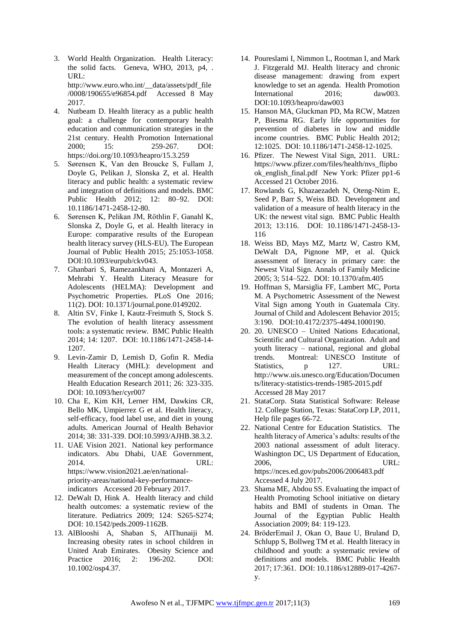- 3. World Health Organization. Health Literacy: the solid facts. Geneva, WHO, 2013, p4, . URL: http://www.euro.who.int/\_\_data/assets/pdf\_file /0008/190655/e96854.pdf Accessed 8 May 2017.
- 4. Nutbeam D. Health literacy as a public health goal: a challenge for contemporary health education and communication strategies in the 21st century. Health Promotion International<br>2000: 15: 259-267. DOI: 259-267. https://doi.org/10.1093/heapro/15.3.259
- 5. Sørensen K, Van den Broucke S, Fullam J, Doyle G, Pelikan J, Slonska Z, et al. Health literacy and public health: a systematic review and integration of definitions and models. BMC Public Health 2012; 12: 80–92. DOI: 10.1186/1471-2458-12-80.
- 6. Sørensen K, Pelikan JM, Röthlin F, Ganahl K, Slonska Z, Doyle G, et al. Health literacy in Europe: comparative results of the European health literacy survey (HLS-EU). The European Journal of Public Health 2015; 25:1053-1058. DOI:10.1093/eurpub/ckv043.
- 7. Ghanbari S, Ramezankhani A, Montazeri A, Mehrabi Y. Health Literacy Measure for Adolescents (HELMA): Development and Psychometric Properties. PLoS One 2016; 11(2). DOI: 10.1371/journal.pone.0149202.
- 8. Altin SV, Finke I, Kautz-Freimuth S, Stock S. The evolution of health literacy assessment tools: a systematic review. BMC Public Health 2014; 14: 1207. DOI: 10.1186/1471-2458-14- 1207.
- 9. Levin-Zamir D, Lemish D, Gofin R. Media Health Literacy (MHL): development and measurement of the concept among adolescents. Health Education Research 2011; 26: 323-335. DOI: 10.1093/her/cyr007
- 10. Cha E, Kim KH, Lerner HM, Dawkins CR, Bello MK, Umpierrez G et al. Health literacy, self-efficacy, food label use, and diet in young adults. American Journal of Health Behavior 2014; 38: 331-339. DOI:10.5993/AJHB.38.3.2.
- 11. UAE Vision 2021. National key performance indicators. Abu Dhabi, UAE Government, 2014. URL: https://www.vision2021.ae/en/nationalpriority-areas/national-key-performanceindicators Accessed 20 February 2017.
- 12. DeWalt D, Hink A. Health literacy and child health outcomes: a systematic review of the literature. Pediatrics 2009; 124: S265-S274; DOI: 10.1542/peds.2009-1162B.
- 13. AlBlooshi A, Shaban S, AlThunaiji M. Increasing obesity rates in school children in United Arab Emirates. Obesity Science and Practice 2016; 2: 196-202. DOI: 10.1002/osp4.37.
- 14. Poureslami I, Nimmon L, Rootman I, and Mark J. Fitzgerald MJ. Health literacy and chronic disease management: drawing from expert knowledge to set an agenda. Health Promotion International 2016; daw003. DOI:10.1093/heapro/daw003
- 15. Hanson MA, Gluckman PD, Ma RCW, Matzen P, Biesma RG. Early life opportunities for prevention of diabetes in low and middle income countries. BMC Public Health 2012; 12:1025. DOI: 10.1186/1471-2458-12-1025.
- 16. Pfizer. The Newest Vital Sign, 2011. URL: https://www.pfizer.com/files/health/nvs\_flipbo ok\_english\_final.pdf New York: Pfizer pp1-6 Accessed 21 October 2016.
- 17. Rowlands G, Khazaezadeh N, Oteng-Ntim E, Seed P, Barr S, Weiss BD. Development and validation of a measure of health literacy in the UK: the newest vital sign. BMC Public Health 2013; 13:116. DOI: 10.1186/1471-2458-13- 116
- 18. Weiss BD, Mays MZ, Martz W, Castro KM, DeWalt DA, Pignone MP, et al. Quick assessment of literacy in primary care: the Newest Vital Sign. Annals of Family Medicine 2005; 3; 514–522. DOI: 10.1370/afm.405
- 19. Hoffman S, Marsiglia FF, Lambert MC, Porta M. A Psychometric Assessment of the Newest Vital Sign among Youth in Guatemala City. Journal of Child and Adolescent Behavior 2015; 3:190. DOI:10.4172/2375-4494.1000190.
- 20. 20. UNESCO United Nations Educational, Scientific and Cultural Organization. Adult and youth literacy – national, regional and global trends. Montreal: UNESCO Institute of Statistics, p 127. URL: http://www.uis.unesco.org/Education/Documen ts/literacy-statistics-trends-1985-2015.pdf Accessed 28 May 2017
- 21. StataCorp. Stata Statistical Software: Release 12. College Station, Texas: StataCorp LP, 2011, Help file pages 66-72.
- 22. National Centre for Education Statistics. The health literacy of America's adults: results of the 2003 national assessment of adult literacy. Washington DC, US Department of Education, 2006, URL: https://nces.ed.gov/pubs2006/2006483.pdf Accessed 4 July 2017.
- 23. Shama ME, Abdou SS. Evaluating the impact of Health Promoting School initiative on dietary habits and BMI of students in Oman. The Journal of the Egyptian Public Health Association 2009; 84: 119-123.
- 24. BröderEmail J, Okan O, Baue U, Bruland D, Schlupp S, Bollweg TM et al. Health literacy in childhood and youth: a systematic review of definitions and models. BMC Public Health 2017; 17:361. DOI: 10.1186/s12889-017-4267 y.